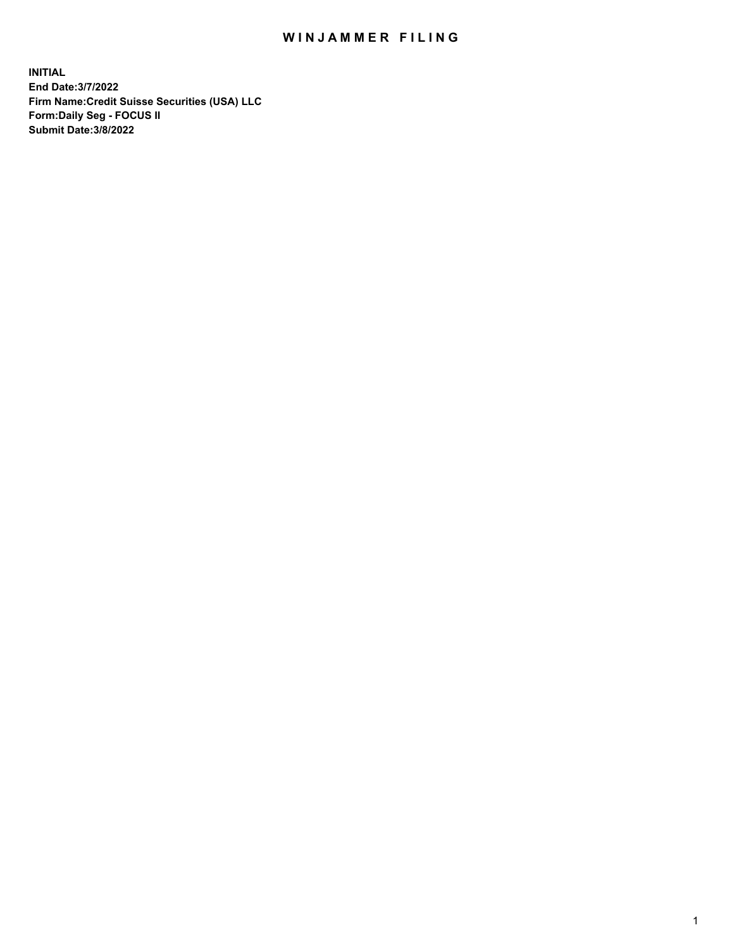## WIN JAMMER FILING

**INITIAL End Date:3/7/2022 Firm Name:Credit Suisse Securities (USA) LLC Form:Daily Seg - FOCUS II Submit Date:3/8/2022**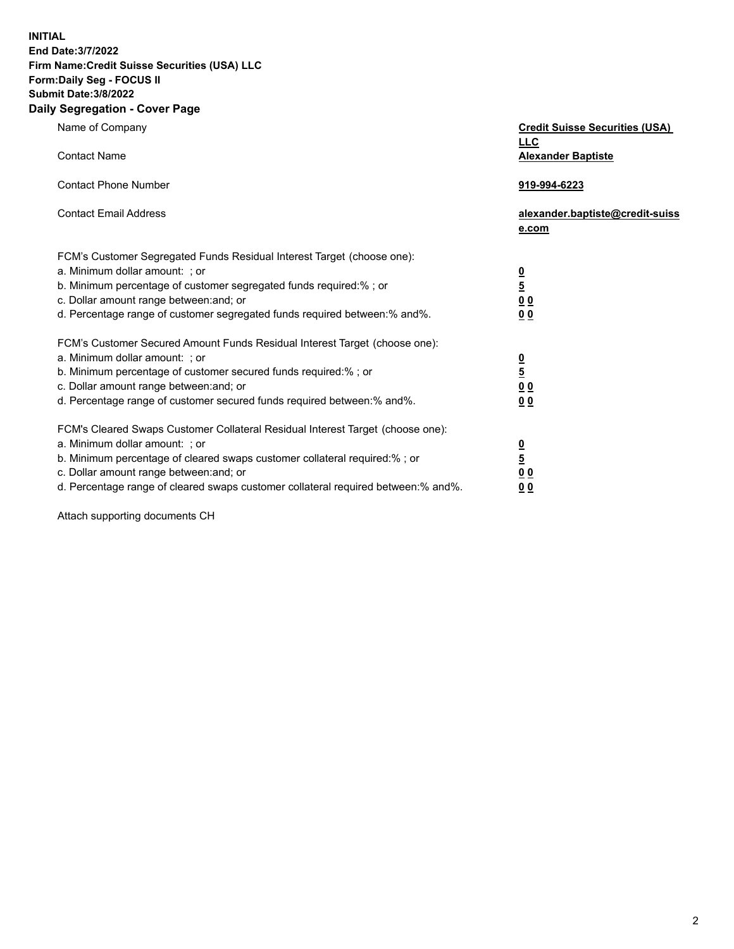**INITIAL** 

## **End Date:3/7/2022 Firm Name:Credit Suisse Securities (USA) LLC Form:Daily Seg - FOCUS II Submit Date:3/8/2022**

## **Daily Segregation - Cover Page**

| Name of Company<br><b>Contact Name</b>                                                                                                                                                                                                                                                                                         | <b>Credit Suisse Securities (USA)</b><br><b>LLC</b><br><b>Alexander Baptiste</b> |
|--------------------------------------------------------------------------------------------------------------------------------------------------------------------------------------------------------------------------------------------------------------------------------------------------------------------------------|----------------------------------------------------------------------------------|
| <b>Contact Phone Number</b>                                                                                                                                                                                                                                                                                                    | 919-994-6223                                                                     |
| <b>Contact Email Address</b>                                                                                                                                                                                                                                                                                                   | alexander.baptiste@credit-suiss<br>e.com                                         |
| FCM's Customer Segregated Funds Residual Interest Target (choose one):<br>a. Minimum dollar amount: ; or<br>b. Minimum percentage of customer segregated funds required:% ; or<br>c. Dollar amount range between: and; or<br>d. Percentage range of customer segregated funds required between:% and%.                         | $\frac{\frac{0}{5}}{\frac{0}{0}}$<br>00                                          |
| FCM's Customer Secured Amount Funds Residual Interest Target (choose one):<br>a. Minimum dollar amount: ; or<br>b. Minimum percentage of customer secured funds required:%; or<br>c. Dollar amount range between: and; or<br>d. Percentage range of customer secured funds required between:% and%.                            | $\frac{0}{5}$<br>0 <sub>0</sub><br>0 <sub>0</sub>                                |
| FCM's Cleared Swaps Customer Collateral Residual Interest Target (choose one):<br>a. Minimum dollar amount: ; or<br>b. Minimum percentage of cleared swaps customer collateral required:% ; or<br>c. Dollar amount range between: and; or<br>d. Percentage range of cleared swaps customer collateral required between:% and%. | <u>0</u><br>$\overline{5}$<br>$\underline{0}$ $\underline{0}$<br>00              |

Attach supporting documents CH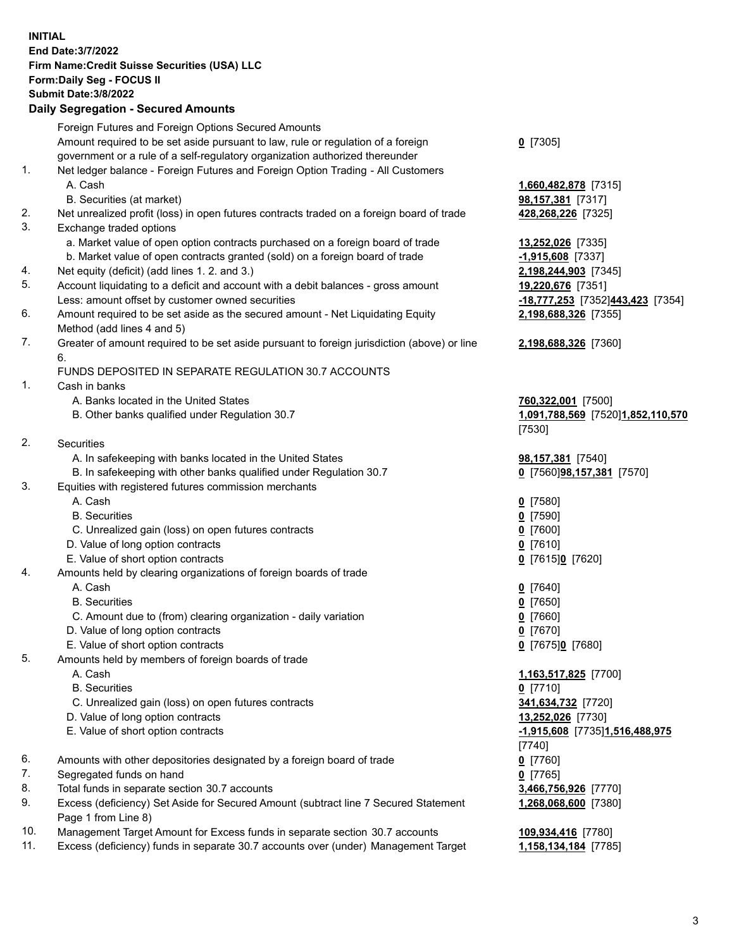**INITIAL End Date:3/7/2022 Firm Name:Credit Suisse Securities (USA) LLC Form:Daily Seg - FOCUS II Submit Date:3/8/2022** 

## **Daily Segregation - Secured Amounts**

|     | Foreign Futures and Foreign Options Secured Amounts                                         |                                   |
|-----|---------------------------------------------------------------------------------------------|-----------------------------------|
|     | Amount required to be set aside pursuant to law, rule or regulation of a foreign            | $0$ [7305]                        |
|     | government or a rule of a self-regulatory organization authorized thereunder                |                                   |
| 1.  | Net ledger balance - Foreign Futures and Foreign Option Trading - All Customers             |                                   |
|     | A. Cash                                                                                     | 1,660,482,878 [7315]              |
|     | B. Securities (at market)                                                                   | 98,157,381 [7317]                 |
| 2.  | Net unrealized profit (loss) in open futures contracts traded on a foreign board of trade   | 428,268,226 [7325]                |
| 3.  | Exchange traded options                                                                     |                                   |
|     | a. Market value of open option contracts purchased on a foreign board of trade              | 13,252,026 [7335]                 |
|     | b. Market value of open contracts granted (sold) on a foreign board of trade                | $-1,915,608$ [7337]               |
| 4.  | Net equity (deficit) (add lines 1. 2. and 3.)                                               | 2,198,244,903 [7345]              |
| 5.  | Account liquidating to a deficit and account with a debit balances - gross amount           | 19,220,676 [7351]                 |
|     | Less: amount offset by customer owned securities                                            | -18,777,253 [7352]443,423 [7354]  |
| 6.  | Amount required to be set aside as the secured amount - Net Liquidating Equity              | 2,198,688,326 [7355]              |
|     | Method (add lines 4 and 5)                                                                  |                                   |
| 7.  | Greater of amount required to be set aside pursuant to foreign jurisdiction (above) or line | 2,198,688,326 [7360]              |
|     | 6.                                                                                          |                                   |
|     | FUNDS DEPOSITED IN SEPARATE REGULATION 30.7 ACCOUNTS                                        |                                   |
| 1.  | Cash in banks                                                                               |                                   |
|     | A. Banks located in the United States                                                       | 760,322,001 [7500]                |
|     | B. Other banks qualified under Regulation 30.7                                              | 1,091,788,569 [7520]1,852,110,570 |
|     |                                                                                             | [7530]                            |
| 2.  | Securities                                                                                  |                                   |
|     | A. In safekeeping with banks located in the United States                                   | 98,157,381 [7540]                 |
|     | B. In safekeeping with other banks qualified under Regulation 30.7                          | 0 [7560]98,157,381 [7570]         |
| 3.  | Equities with registered futures commission merchants                                       |                                   |
|     | A. Cash                                                                                     | $0$ [7580]                        |
|     | <b>B.</b> Securities                                                                        | $0$ [7590]                        |
|     | C. Unrealized gain (loss) on open futures contracts                                         | $Q$ [7600]                        |
|     | D. Value of long option contracts                                                           | $0$ [7610]                        |
|     | E. Value of short option contracts                                                          | 0 [7615]0 [7620]                  |
| 4.  | Amounts held by clearing organizations of foreign boards of trade                           |                                   |
|     | A. Cash                                                                                     | $0$ [7640]                        |
|     | <b>B.</b> Securities                                                                        | $0$ [7650]                        |
|     | C. Amount due to (from) clearing organization - daily variation                             | $0$ [7660]                        |
|     | D. Value of long option contracts                                                           | $0$ [7670]                        |
|     | E. Value of short option contracts                                                          | 0 [7675]0 [7680]                  |
| 5.  | Amounts held by members of foreign boards of trade                                          |                                   |
|     | A. Cash                                                                                     | 1,163,517,825 [7700]              |
|     | <b>B.</b> Securities                                                                        | $0$ [7710]                        |
|     | C. Unrealized gain (loss) on open futures contracts                                         | 341,634,732 [7720]                |
|     | D. Value of long option contracts                                                           | 13,252,026 [7730]                 |
|     | E. Value of short option contracts                                                          | -1,915,608 [7735]1,516,488,975    |
|     |                                                                                             | [7740]                            |
| 6.  | Amounts with other depositories designated by a foreign board of trade                      | $0$ [7760]                        |
| 7.  | Segregated funds on hand                                                                    | $0$ [7765]                        |
| 8.  | Total funds in separate section 30.7 accounts                                               | 3,466,756,926 [7770]              |
| 9.  | Excess (deficiency) Set Aside for Secured Amount (subtract line 7 Secured Statement         | 1,268,068,600 [7380]              |
| 10. | Page 1 from Line 8)                                                                         |                                   |
| 11. | Management Target Amount for Excess funds in separate section 30.7 accounts                 | 109,934,416 [7780]                |
|     | Excess (deficiency) funds in separate 30.7 accounts over (under) Management Target          | 1,158,134,184 [7785]              |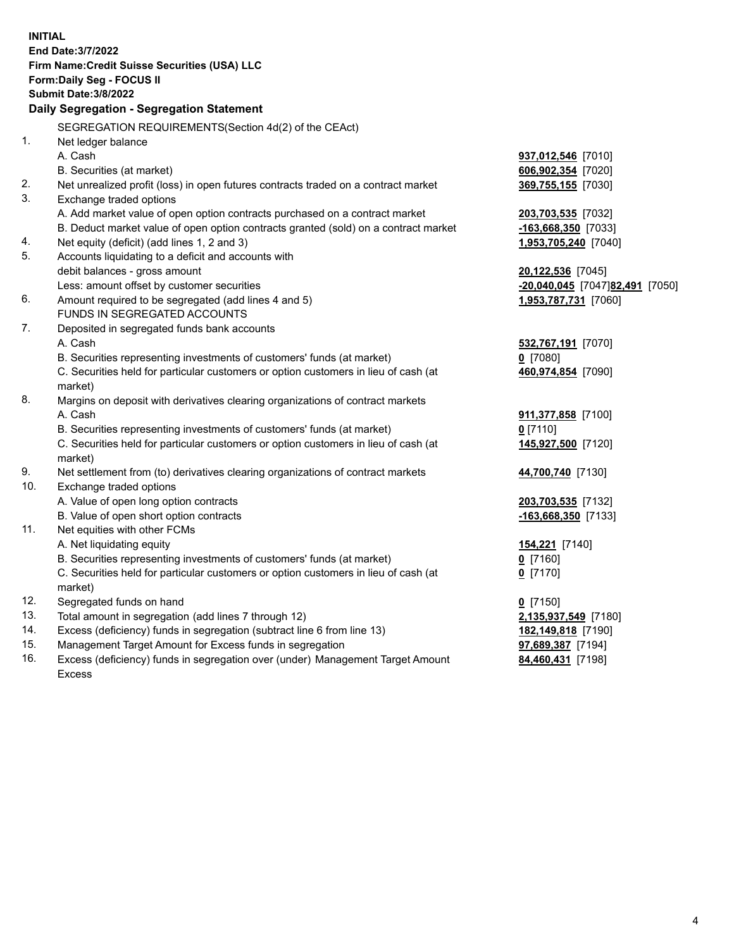| <b>INITIAL</b> |                                                                                     |                                 |
|----------------|-------------------------------------------------------------------------------------|---------------------------------|
|                | End Date: 3/7/2022                                                                  |                                 |
|                | Firm Name: Credit Suisse Securities (USA) LLC                                       |                                 |
|                | Form: Daily Seg - FOCUS II                                                          |                                 |
|                | <b>Submit Date: 3/8/2022</b>                                                        |                                 |
|                | Daily Segregation - Segregation Statement                                           |                                 |
|                | SEGREGATION REQUIREMENTS(Section 4d(2) of the CEAct)                                |                                 |
| 1.             | Net ledger balance                                                                  |                                 |
|                | A. Cash                                                                             | <b>937,012,546</b> [7010]       |
|                | B. Securities (at market)                                                           | 606,902,354 [7020]              |
| 2.             | Net unrealized profit (loss) in open futures contracts traded on a contract market  | 369,755,155 [7030]              |
| 3.             | Exchange traded options                                                             |                                 |
|                | A. Add market value of open option contracts purchased on a contract market         | 203,703,535 [7032]              |
|                | B. Deduct market value of open option contracts granted (sold) on a contract market | -163,668,350 [7033]             |
| 4.             | Net equity (deficit) (add lines 1, 2 and 3)                                         | 1,953,705,240 [7040]            |
| 5.             | Accounts liquidating to a deficit and accounts with                                 |                                 |
|                | debit balances - gross amount                                                       | <b>20,122,536</b> [7045]        |
|                | Less: amount offset by customer securities                                          | -20,040,045 [7047]82,491 [7050] |
| 6.             | Amount required to be segregated (add lines 4 and 5)                                | 1,953,787,731 [7060]            |
|                | FUNDS IN SEGREGATED ACCOUNTS                                                        |                                 |
| 7.             | Deposited in segregated funds bank accounts                                         |                                 |
|                | A. Cash                                                                             | 532,767,191 [7070]              |
|                | B. Securities representing investments of customers' funds (at market)              | $0$ [7080]                      |
|                | C. Securities held for particular customers or option customers in lieu of cash (at | 460,974,854 [7090]              |
|                | market)                                                                             |                                 |
| 8.             | Margins on deposit with derivatives clearing organizations of contract markets      |                                 |
|                | A. Cash                                                                             | 911,377,858 [7100]              |
|                | B. Securities representing investments of customers' funds (at market)              | $0$ [7110]                      |
|                | C. Securities held for particular customers or option customers in lieu of cash (at | 145,927,500 [7120]              |
|                | market)                                                                             |                                 |
| 9.             | Net settlement from (to) derivatives clearing organizations of contract markets     | 44,700,740 [7130]               |
| 10.            | Exchange traded options                                                             |                                 |
|                | A. Value of open long option contracts                                              | 203,703,535 [7132]              |
|                | B. Value of open short option contracts                                             | -163,668,350 [7133]             |
| 11.            | Net equities with other FCMs                                                        |                                 |
|                | A. Net liquidating equity                                                           | 154,221 [7140]                  |
|                | B. Securities representing investments of customers' funds (at market)              | $Q$ [7160]                      |
|                | C. Securities held for particular customers or option customers in lieu of cash (at | $0$ [7170]                      |
|                | market)                                                                             |                                 |
| 12.            | Segregated funds on hand                                                            | $0$ [7150]                      |
| 13.            | Total amount in segregation (add lines 7 through 12)                                | 2,135,937,549 [7180]            |
| 14.            | Excess (deficiency) funds in segregation (subtract line 6 from line 13)             | 182,149,818 [7190]              |
| 15.            | Management Target Amount for Excess funds in segregation                            | 97,689,387 [7194]               |
| 16.            | Excess (deficiency) funds in segregation over (under) Management Target Amount      | 84,460,431 [7198]               |
|                | Excess                                                                              |                                 |